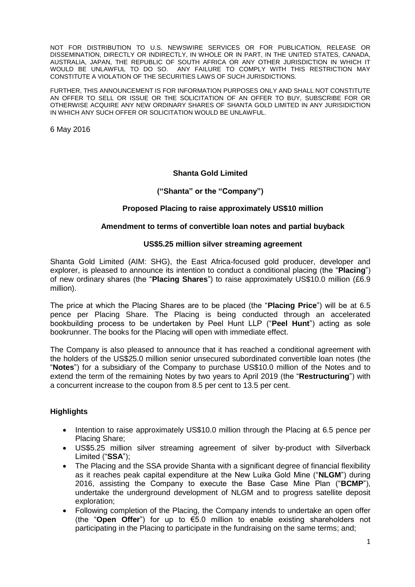NOT FOR DISTRIBUTION TO U.S. NEWSWIRE SERVICES OR FOR PUBLICATION, RELEASE OR DISSEMINATION, DIRECTLY OR INDIRECTLY, IN WHOLE OR IN PART, IN THE UNITED STATES, CANADA, AUSTRALIA, JAPAN, THE REPUBLIC OF SOUTH AFRICA OR ANY OTHER JURISDICTION IN WHICH IT WOULD BE UNLAWFUL TO DO SO. ANY FAILURE TO COMPLY WITH THIS RESTRICTION MAY CONSTITUTE A VIOLATION OF THE SECURITIES LAWS OF SUCH JURISDICTIONS.

FURTHER, THIS ANNOUNCEMENT IS FOR INFORMATION PURPOSES ONLY AND SHALL NOT CONSTITUTE AN OFFER TO SELL OR ISSUE OR THE SOLICITATION OF AN OFFER TO BUY, SUBSCRIBE FOR OR OTHERWISE ACQUIRE ANY NEW ORDINARY SHARES OF SHANTA GOLD LIMITED IN ANY JURISIDICTION IN WHICH ANY SUCH OFFER OR SOLICITATION WOULD BE UNLAWFUL.

6 May 2016

## **Shanta Gold Limited**

## **("Shanta" or the "Company")**

## **Proposed Placing to raise approximately US\$10 million**

### **Amendment to terms of convertible loan notes and partial buyback**

### **US\$5.25 million silver streaming agreement**

Shanta Gold Limited (AIM: SHG), the East Africa-focused gold producer, developer and explorer, is pleased to announce its intention to conduct a conditional placing (the "**Placing**") of new ordinary shares (the "**Placing Shares**") to raise approximately US\$10.0 million (£6.9 million).

The price at which the Placing Shares are to be placed (the "**Placing Price**") will be at 6.5 pence per Placing Share. The Placing is being conducted through an accelerated bookbuilding process to be undertaken by Peel Hunt LLP ("**Peel Hunt**") acting as sole bookrunner. The books for the Placing will open with immediate effect.

The Company is also pleased to announce that it has reached a conditional agreement with the holders of the US\$25.0 million senior unsecured subordinated convertible loan notes (the "**Notes**") for a subsidiary of the Company to purchase US\$10.0 million of the Notes and to extend the term of the remaining Notes by two years to April 2019 (the "**Restructuring**") with a concurrent increase to the coupon from 8.5 per cent to 13.5 per cent.

# **Highlights**

- Intention to raise approximately US\$10.0 million through the Placing at 6.5 pence per Placing Share;
- US\$5.25 million silver streaming agreement of silver by-product with Silverback Limited ("**SSA**");
- The Placing and the SSA provide Shanta with a significant degree of financial flexibility as it reaches peak capital expenditure at the New Luika Gold Mine ("**NLGM**") during 2016, assisting the Company to execute the Base Case Mine Plan ("**BCMP**"), undertake the underground development of NLGM and to progress satellite deposit exploration;
- Following completion of the Placing, the Company intends to undertake an open offer (the "**Open Offer**") for up to €5.0 million to enable existing shareholders not participating in the Placing to participate in the fundraising on the same terms; and;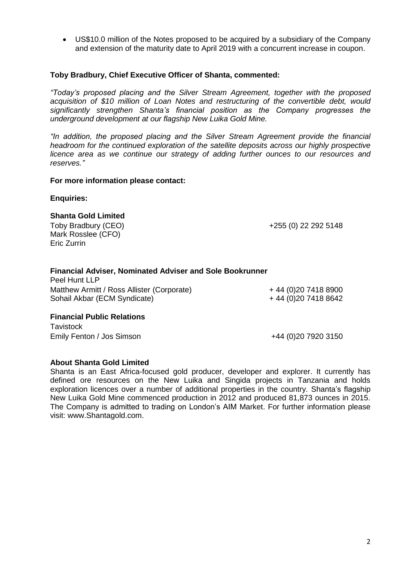US\$10.0 million of the Notes proposed to be acquired by a subsidiary of the Company and extension of the maturity date to April 2019 with a concurrent increase in coupon.

## **Toby Bradbury, Chief Executive Officer of Shanta, commented:**

*"Today's proposed placing and the Silver Stream Agreement, together with the proposed acquisition of \$10 million of Loan Notes and restructuring of the convertible debt, would significantly strengthen Shanta's financial position as the Company progresses the underground development at our flagship New Luika Gold Mine.* 

*"In addition, the proposed placing and the Silver Stream Agreement provide the financial headroom for the continued exploration of the satellite deposits across our highly prospective licence area as we continue our strategy of adding further ounces to our resources and reserves."* 

### **For more information please contact:**

## **Enquiries:**

## **Shanta Gold Limited**

Toby Bradbury (CEO) Mark Rosslee (CFO) Eric Zurrin

+255 (0) 22 292 5148

| <b>Financial Adviser, Nominated Adviser and Sole Bookrunner</b><br>Peel Hunt LLP |                                            |
|----------------------------------------------------------------------------------|--------------------------------------------|
| Matthew Armitt / Ross Allister (Corporate)<br>Sohail Akbar (ECM Syndicate)       | $+44(0)2074188900$<br>+44 (0) 20 7418 8642 |
| <b>Financial Public Relations</b><br>Tavistock                                   |                                            |

Emily Fenton / Jos Simson +44 (0)20 7920 3150

# **About Shanta Gold Limited**

Shanta is an East Africa-focused gold producer, developer and explorer. It currently has defined ore resources on the New Luika and Singida projects in Tanzania and holds exploration licences over a number of additional properties in the country. Shanta's flagship New Luika Gold Mine commenced production in 2012 and produced 81,873 ounces in 2015. The Company is admitted to trading on London's AIM Market. For further information please visit: www.Shantagold.com.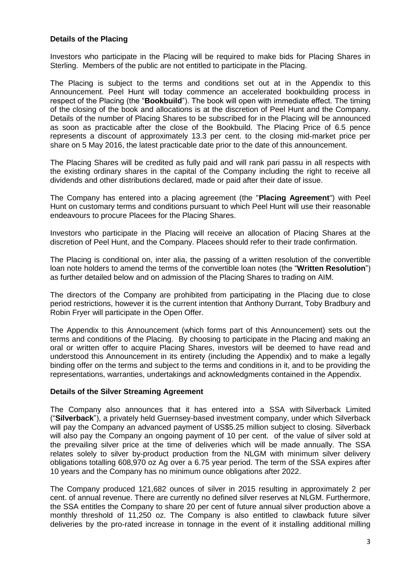# **Details of the Placing**

Investors who participate in the Placing will be required to make bids for Placing Shares in Sterling. Members of the public are not entitled to participate in the Placing.

The Placing is subject to the terms and conditions set out at in the Appendix to this Announcement. Peel Hunt will today commence an accelerated bookbuilding process in respect of the Placing (the "**Bookbuild**"). The book will open with immediate effect. The timing of the closing of the book and allocations is at the discretion of Peel Hunt and the Company. Details of the number of Placing Shares to be subscribed for in the Placing will be announced as soon as practicable after the close of the Bookbuild. The Placing Price of 6.5 pence represents a discount of approximately 13.3 per cent. to the closing mid-market price per share on 5 May 2016, the latest practicable date prior to the date of this announcement.

The Placing Shares will be credited as fully paid and will rank pari passu in all respects with the existing ordinary shares in the capital of the Company including the right to receive all dividends and other distributions declared, made or paid after their date of issue.

The Company has entered into a placing agreement (the "**Placing Agreement**") with Peel Hunt on customary terms and conditions pursuant to which Peel Hunt will use their reasonable endeavours to procure Placees for the Placing Shares.

Investors who participate in the Placing will receive an allocation of Placing Shares at the discretion of Peel Hunt, and the Company. Placees should refer to their trade confirmation.

The Placing is conditional on, inter alia, the passing of a written resolution of the convertible loan note holders to amend the terms of the convertible loan notes (the "**Written Resolution**") as further detailed below and on admission of the Placing Shares to trading on AIM.

The directors of the Company are prohibited from participating in the Placing due to close period restrictions, however it is the current intention that Anthony Durrant, Toby Bradbury and Robin Fryer will participate in the Open Offer.

The Appendix to this Announcement (which forms part of this Announcement) sets out the terms and conditions of the Placing. By choosing to participate in the Placing and making an oral or written offer to acquire Placing Shares, investors will be deemed to have read and understood this Announcement in its entirety (including the Appendix) and to make a legally binding offer on the terms and subject to the terms and conditions in it, and to be providing the representations, warranties, undertakings and acknowledgments contained in the Appendix.

### **Details of the Silver Streaming Agreement**

The Company also announces that it has entered into a SSA with Silverback Limited ("**Silverback**"), a privately held Guernsey-based investment company, under which Silverback will pay the Company an advanced payment of US\$5.25 million subject to closing. Silverback will also pay the Company an ongoing payment of 10 per cent. of the value of silver sold at the prevailing silver price at the time of deliveries which will be made annually. The SSA relates solely to silver by-product production from the NLGM with minimum silver delivery obligations totalling 608,970 oz Ag over a 6.75 year period. The term of the SSA expires after 10 years and the Company has no minimum ounce obligations after 2022.

The Company produced 121,682 ounces of silver in 2015 resulting in approximately 2 per cent. of annual revenue. There are currently no defined silver reserves at NLGM. Furthermore, the SSA entitles the Company to share 20 per cent of future annual silver production above a monthly threshold of 11,250 oz. The Company is also entitled to clawback future silver deliveries by the pro-rated increase in tonnage in the event of it installing additional milling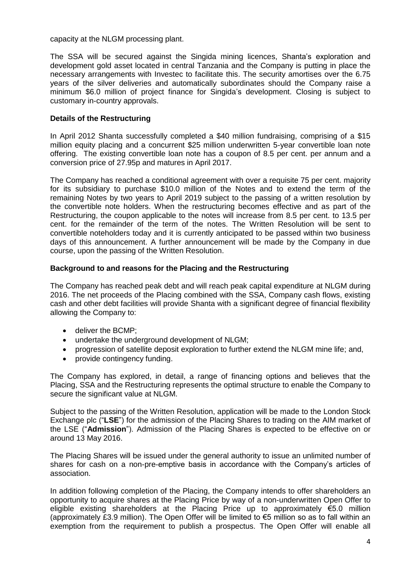capacity at the NLGM processing plant.

The SSA will be secured against the Singida mining licences, Shanta's exploration and development gold asset located in central Tanzania and the Company is putting in place the necessary arrangements with Investec to facilitate this. The security amortises over the 6.75 years of the silver deliveries and automatically subordinates should the Company raise a minimum \$6.0 million of project finance for Singida's development. Closing is subject to customary in-country approvals.

# **Details of the Restructuring**

In April 2012 Shanta successfully completed a \$40 million fundraising, comprising of a \$15 million equity placing and a concurrent \$25 million underwritten 5-year convertible loan note offering. The existing convertible loan note has a coupon of 8.5 per cent. per annum and a conversion price of 27.95p and matures in April 2017.

The Company has reached a conditional agreement with over a requisite 75 per cent. majority for its subsidiary to purchase \$10.0 million of the Notes and to extend the term of the remaining Notes by two years to April 2019 subject to the passing of a written resolution by the convertible note holders. When the restructuring becomes effective and as part of the Restructuring, the coupon applicable to the notes will increase from 8.5 per cent. to 13.5 per cent. for the remainder of the term of the notes. The Written Resolution will be sent to convertible noteholders today and it is currently anticipated to be passed within two business days of this announcement. A further announcement will be made by the Company in due course, upon the passing of the Written Resolution.

# **Background to and reasons for the Placing and the Restructuring**

The Company has reached peak debt and will reach peak capital expenditure at NLGM during 2016. The net proceeds of the Placing combined with the SSA, Company cash flows, existing cash and other debt facilities will provide Shanta with a significant degree of financial flexibility allowing the Company to:

- deliver the BCMP:
- undertake the underground development of NLGM;
- progression of satellite deposit exploration to further extend the NLGM mine life; and,
- provide contingency funding.

The Company has explored, in detail, a range of financing options and believes that the Placing, SSA and the Restructuring represents the optimal structure to enable the Company to secure the significant value at NLGM.

Subject to the passing of the Written Resolution, application will be made to the London Stock Exchange plc ("**LSE**") for the admission of the Placing Shares to trading on the AIM market of the LSE ("**Admission**"). Admission of the Placing Shares is expected to be effective on or around 13 May 2016.

The Placing Shares will be issued under the general authority to issue an unlimited number of shares for cash on a non-pre-emptive basis in accordance with the Company's articles of association.

In addition following completion of the Placing, the Company intends to offer shareholders an opportunity to acquire shares at the Placing Price by way of a non-underwritten Open Offer to eligible existing shareholders at the Placing Price up to approximately  $\epsilon$ 5.0 million (approximately £3.9 million). The Open Offer will be limited to  $\epsilon$ 5 million so as to fall within an exemption from the requirement to publish a prospectus. The Open Offer will enable all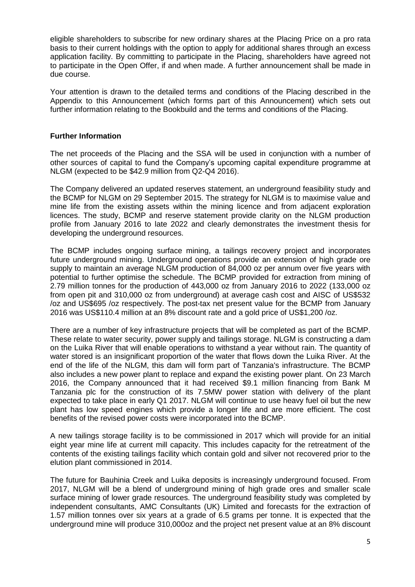eligible shareholders to subscribe for new ordinary shares at the Placing Price on a pro rata basis to their current holdings with the option to apply for additional shares through an excess application facility. By committing to participate in the Placing, shareholders have agreed not to participate in the Open Offer, if and when made. A further announcement shall be made in due course.

Your attention is drawn to the detailed terms and conditions of the Placing described in the Appendix to this Announcement (which forms part of this Announcement) which sets out further information relating to the Bookbuild and the terms and conditions of the Placing.

# **Further Information**

The net proceeds of the Placing and the SSA will be used in conjunction with a number of other sources of capital to fund the Company's upcoming capital expenditure programme at NLGM (expected to be \$42.9 million from Q2-Q4 2016).

The Company delivered an updated reserves statement, an underground feasibility study and the BCMP for NLGM on 29 September 2015. The strategy for NLGM is to maximise value and mine life from the existing assets within the mining licence and from adjacent exploration licences. The study, BCMP and reserve statement provide clarity on the NLGM production profile from January 2016 to late 2022 and clearly demonstrates the investment thesis for developing the underground resources.

The BCMP includes ongoing surface mining, a tailings recovery project and incorporates future underground mining. Underground operations provide an extension of high grade ore supply to maintain an average NLGM production of 84,000 oz per annum over five years with potential to further optimise the schedule. The BCMP provided for extraction from mining of 2.79 million tonnes for the production of 443,000 oz from January 2016 to 2022 (133,000 oz from open pit and 310,000 oz from underground) at average cash cost and AISC of US\$532 /oz and US\$695 /oz respectively. The post-tax net present value for the BCMP from January 2016 was US\$110.4 million at an 8% discount rate and a gold price of US\$1,200 /oz.

There are a number of key infrastructure projects that will be completed as part of the BCMP. These relate to water security, power supply and tailings storage. NLGM is constructing a dam on the Luika River that will enable operations to withstand a year without rain. The quantity of water stored is an insignificant proportion of the water that flows down the Luika River. At the end of the life of the NLGM, this dam will form part of Tanzania's infrastructure. The BCMP also includes a new power plant to replace and expand the existing power plant. On 23 March 2016, the Company announced that it had received \$9.1 million financing from Bank M Tanzania plc for the construction of its 7.5MW power station with delivery of the plant expected to take place in early Q1 2017. NLGM will continue to use heavy fuel oil but the new plant has low speed engines which provide a longer life and are more efficient. The cost benefits of the revised power costs were incorporated into the BCMP.

A new tailings storage facility is to be commissioned in 2017 which will provide for an initial eight year mine life at current mill capacity. This includes capacity for the retreatment of the contents of the existing tailings facility which contain gold and silver not recovered prior to the elution plant commissioned in 2014.

The future for Bauhinia Creek and Luika deposits is increasingly underground focused. From 2017, NLGM will be a blend of underground mining of high grade ores and smaller scale surface mining of lower grade resources. The underground feasibility study was completed by independent consultants, AMC Consultants (UK) Limited and forecasts for the extraction of 1.57 million tonnes over six years at a grade of 6.5 grams per tonne. It is expected that the underground mine will produce 310,000oz and the project net present value at an 8% discount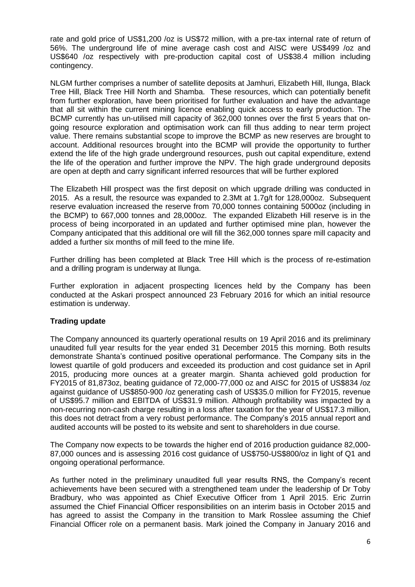rate and gold price of US\$1,200 /oz is US\$72 million, with a pre-tax internal rate of return of 56%. The underground life of mine average cash cost and AISC were US\$499 /oz and US\$640 /oz respectively with pre-production capital cost of US\$38.4 million including contingency.

NLGM further comprises a number of satellite deposits at Jamhuri, Elizabeth Hill, Ilunga, Black Tree Hill, Black Tree Hill North and Shamba. These resources, which can potentially benefit from further exploration, have been prioritised for further evaluation and have the advantage that all sit within the current mining licence enabling quick access to early production. The BCMP currently has un-utilised mill capacity of 362,000 tonnes over the first 5 years that ongoing resource exploration and optimisation work can fill thus adding to near term project value. There remains substantial scope to improve the BCMP as new reserves are brought to account. Additional resources brought into the BCMP will provide the opportunity to further extend the life of the high grade underground resources, push out capital expenditure, extend the life of the operation and further improve the NPV. The high grade underground deposits are open at depth and carry significant inferred resources that will be further explored

The Elizabeth Hill prospect was the first deposit on which upgrade drilling was conducted in 2015. As a result, the resource was expanded to 2.3Mt at 1.7g/t for 128,000oz. Subsequent reserve evaluation increased the reserve from 70,000 tonnes containing 5000oz (including in the BCMP) to 667,000 tonnes and 28,000oz. The expanded Elizabeth Hill reserve is in the process of being incorporated in an updated and further optimised mine plan, however the Company anticipated that this additional ore will fill the 362,000 tonnes spare mill capacity and added a further six months of mill feed to the mine life.

Further drilling has been completed at Black Tree Hill which is the process of re-estimation and a drilling program is underway at Ilunga.

Further exploration in adjacent prospecting licences held by the Company has been conducted at the Askari prospect announced 23 February 2016 for which an initial resource estimation is underway.

# **Trading update**

The Company announced its quarterly operational results on 19 April 2016 and its preliminary unaudited full year results for the year ended 31 December 2015 this morning. Both results demonstrate Shanta's continued positive operational performance. The Company sits in the lowest quartile of gold producers and exceeded its production and cost guidance set in April 2015, producing more ounces at a greater margin. Shanta achieved gold production for FY2015 of 81,873oz, beating guidance of 72,000-77,000 oz and AISC for 2015 of US\$834 /oz against guidance of US\$850-900 /oz generating cash of US\$35.0 million for FY2015, revenue of US\$95.7 million and EBITDA of US\$31.9 million. Although profitability was impacted by a non-recurring non-cash charge resulting in a loss after taxation for the year of US\$17.3 million, this does not detract from a very robust performance. The Company's 2015 annual report and audited accounts will be posted to its website and sent to shareholders in due course.

The Company now expects to be towards the higher end of 2016 production guidance 82,000- 87,000 ounces and is assessing 2016 cost guidance of US\$750-US\$800/oz in light of Q1 and ongoing operational performance.

As further noted in the preliminary unaudited full year results RNS, the Company's recent achievements have been secured with a strengthened team under the leadership of Dr Toby Bradbury, who was appointed as Chief Executive Officer from 1 April 2015. Eric Zurrin assumed the Chief Financial Officer responsibilities on an interim basis in October 2015 and has agreed to assist the Company in the transition to Mark Rosslee assuming the Chief Financial Officer role on a permanent basis. Mark joined the Company in January 2016 and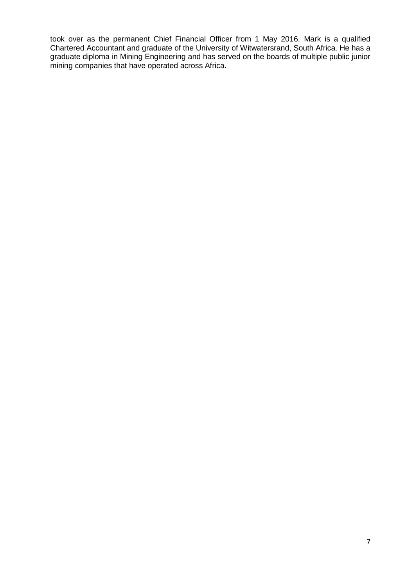took over as the permanent Chief Financial Officer from 1 May 2016. Mark is a qualified Chartered Accountant and graduate of the University of Witwatersrand, South Africa. He has a graduate diploma in Mining Engineering and has served on the boards of multiple public junior mining companies that have operated across Africa.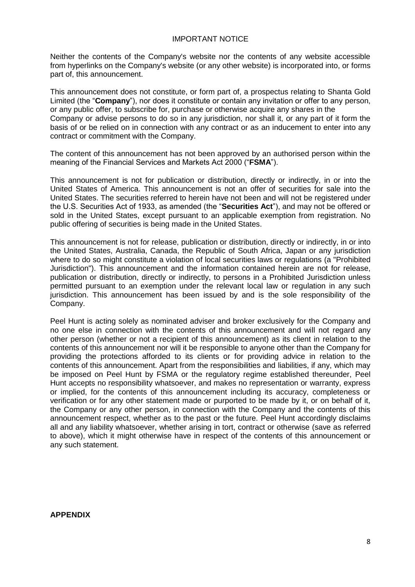## IMPORTANT NOTICE

Neither the contents of the Company's website nor the contents of any website accessible from hyperlinks on the Company's website (or any other website) is incorporated into, or forms part of, this announcement.

This announcement does not constitute, or form part of, a prospectus relating to Shanta Gold Limited (the "**Company**"), nor does it constitute or contain any invitation or offer to any person, or any public offer, to subscribe for, purchase or otherwise acquire any shares in the Company or advise persons to do so in any jurisdiction, nor shall it, or any part of it form the basis of or be relied on in connection with any contract or as an inducement to enter into any contract or commitment with the Company.

The content of this announcement has not been approved by an authorised person within the meaning of the Financial Services and Markets Act 2000 ("**FSMA**").

This announcement is not for publication or distribution, directly or indirectly, in or into the United States of America. This announcement is not an offer of securities for sale into the United States. The securities referred to herein have not been and will not be registered under the U.S. Securities Act of 1933, as amended (the "**Securities Act**"), and may not be offered or sold in the United States, except pursuant to an applicable exemption from registration. No public offering of securities is being made in the United States.

This announcement is not for release, publication or distribution, directly or indirectly, in or into the United States, Australia, Canada, the Republic of South Africa, Japan or any jurisdiction where to do so might constitute a violation of local securities laws or regulations (a "Prohibited Jurisdiction"). This announcement and the information contained herein are not for release, publication or distribution, directly or indirectly, to persons in a Prohibited Jurisdiction unless permitted pursuant to an exemption under the relevant local law or regulation in any such jurisdiction. This announcement has been issued by and is the sole responsibility of the Company.

Peel Hunt is acting solely as nominated adviser and broker exclusively for the Company and no one else in connection with the contents of this announcement and will not regard any other person (whether or not a recipient of this announcement) as its client in relation to the contents of this announcement nor will it be responsible to anyone other than the Company for providing the protections afforded to its clients or for providing advice in relation to the contents of this announcement. Apart from the responsibilities and liabilities, if any, which may be imposed on Peel Hunt by FSMA or the regulatory regime established thereunder, Peel Hunt accepts no responsibility whatsoever, and makes no representation or warranty, express or implied, for the contents of this announcement including its accuracy, completeness or verification or for any other statement made or purported to be made by it, or on behalf of it, the Company or any other person, in connection with the Company and the contents of this announcement respect, whether as to the past or the future. Peel Hunt accordingly disclaims all and any liability whatsoever, whether arising in tort, contract or otherwise (save as referred to above), which it might otherwise have in respect of the contents of this announcement or any such statement.

### **APPENDIX**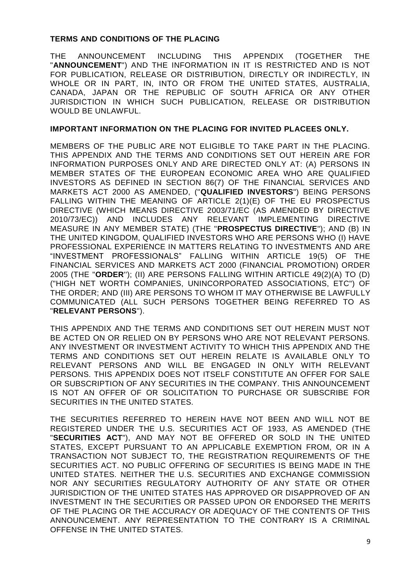# **TERMS AND CONDITIONS OF THE PLACING**

THE ANNOUNCEMENT INCLUDING THIS APPENDIX (TOGETHER THE "**ANNOUNCEMENT**") AND THE INFORMATION IN IT IS RESTRICTED AND IS NOT FOR PUBLICATION, RELEASE OR DISTRIBUTION, DIRECTLY OR INDIRECTLY, IN WHOLE OR IN PART, IN, INTO OR FROM THE UNITED STATES, AUSTRALIA, CANADA, JAPAN OR THE REPUBLIC OF SOUTH AFRICA OR ANY OTHER JURISDICTION IN WHICH SUCH PUBLICATION, RELEASE OR DISTRIBUTION WOULD BE UNLAWFUL.

# **IMPORTANT INFORMATION ON THE PLACING FOR INVITED PLACEES ONLY.**

MEMBERS OF THE PUBLIC ARE NOT ELIGIBLE TO TAKE PART IN THE PLACING. THIS APPENDIX AND THE TERMS AND CONDITIONS SET OUT HEREIN ARE FOR INFORMATION PURPOSES ONLY AND ARE DIRECTED ONLY AT: (A) PERSONS IN MEMBER STATES OF THE EUROPEAN ECONOMIC AREA WHO ARE QUALIFIED INVESTORS AS DEFINED IN SECTION 86(7) OF THE FINANCIAL SERVICES AND MARKETS ACT 2000 AS AMENDED, ("**QUALIFIED INVESTORS**") BEING PERSONS FALLING WITHIN THE MEANING OF ARTICLE 2(1)(E) OF THE EU PROSPECTUS DIRECTIVE (WHICH MEANS DIRECTIVE 2003/71/EC (AS AMENDED BY DIRECTIVE 2010/73/EC)) AND INCLUDES ANY RELEVANT IMPLEMENTING DIRECTIVE MEASURE IN ANY MEMBER STATE) (THE "**PROSPECTUS DIRECTIVE**"); AND (B) IN THE UNITED KINGDOM, QUALIFIED INVESTORS WHO ARE PERSONS WHO (I) HAVE PROFESSIONAL EXPERIENCE IN MATTERS RELATING TO INVESTMENTS AND ARE "INVESTMENT PROFESSIONALS" FALLING WITHIN ARTICLE 19(5) OF THE FINANCIAL SERVICES AND MARKETS ACT 2000 (FINANCIAL PROMOTION) ORDER 2005 (THE "**ORDER**''); (II) ARE PERSONS FALLING WITHIN ARTICLE 49(2)(A) TO (D) ("HIGH NET WORTH COMPANIES, UNINCORPORATED ASSOCIATIONS, ETC") OF THE ORDER; AND (III) ARE PERSONS TO WHOM IT MAY OTHERWISE BE LAWFULLY COMMUNICATED (ALL SUCH PERSONS TOGETHER BEING REFERRED TO AS "**RELEVANT PERSONS**").

THIS APPENDIX AND THE TERMS AND CONDITIONS SET OUT HEREIN MUST NOT BE ACTED ON OR RELIED ON BY PERSONS WHO ARE NOT RELEVANT PERSONS. ANY INVESTMENT OR INVESTMENT ACTIVITY TO WHICH THIS APPENDIX AND THE TERMS AND CONDITIONS SET OUT HEREIN RELATE IS AVAILABLE ONLY TO RELEVANT PERSONS AND WILL BE ENGAGED IN ONLY WITH RELEVANT PERSONS. THIS APPENDIX DOES NOT ITSELF CONSTITUTE AN OFFER FOR SALE OR SUBSCRIPTION OF ANY SECURITIES IN THE COMPANY. THIS ANNOUNCEMENT IS NOT AN OFFER OF OR SOLICITATION TO PURCHASE OR SUBSCRIBE FOR SECURITIES IN THE UNITED STATES.

THE SECURITIES REFERRED TO HEREIN HAVE NOT BEEN AND WILL NOT BE REGISTERED UNDER THE U.S. SECURITIES ACT OF 1933, AS AMENDED (THE "**SECURITIES ACT**"), AND MAY NOT BE OFFERED OR SOLD IN THE UNITED STATES, EXCEPT PURSUANT TO AN APPLICABLE EXEMPTION FROM, OR IN A TRANSACTION NOT SUBJECT TO, THE REGISTRATION REQUIREMENTS OF THE SECURITIES ACT. NO PUBLIC OFFERING OF SECURITIES IS BEING MADE IN THE UNITED STATES. NEITHER THE U.S. SECURITIES AND EXCHANGE COMMISSION NOR ANY SECURITIES REGULATORY AUTHORITY OF ANY STATE OR OTHER JURISDICTION OF THE UNITED STATES HAS APPROVED OR DISAPPROVED OF AN INVESTMENT IN THE SECURITIES OR PASSED UPON OR ENDORSED THE MERITS OF THE PLACING OR THE ACCURACY OR ADEQUACY OF THE CONTENTS OF THIS ANNOUNCEMENT. ANY REPRESENTATION TO THE CONTRARY IS A CRIMINAL OFFENSE IN THE UNITED STATES.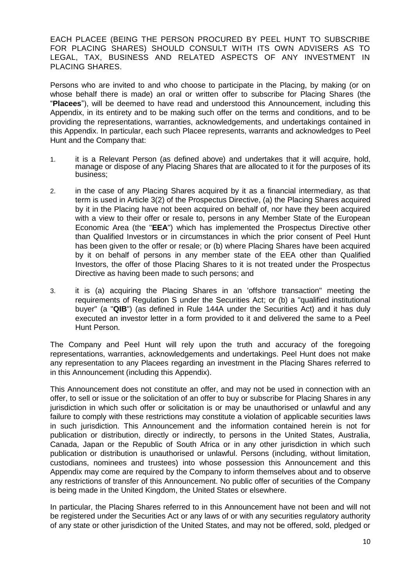EACH PLACEE (BEING THE PERSON PROCURED BY PEEL HUNT TO SUBSCRIBE FOR PLACING SHARES) SHOULD CONSULT WITH ITS OWN ADVISERS AS TO LEGAL, TAX, BUSINESS AND RELATED ASPECTS OF ANY INVESTMENT IN PLACING SHARES.

Persons who are invited to and who choose to participate in the Placing, by making (or on whose behalf there is made) an oral or written offer to subscribe for Placing Shares (the "**Placees**"), will be deemed to have read and understood this Announcement, including this Appendix, in its entirety and to be making such offer on the terms and conditions, and to be providing the representations, warranties, acknowledgements, and undertakings contained in this Appendix. In particular, each such Placee represents, warrants and acknowledges to Peel Hunt and the Company that:

- 1. it is a Relevant Person (as defined above) and undertakes that it will acquire, hold, manage or dispose of any Placing Shares that are allocated to it for the purposes of its business;
- 2. in the case of any Placing Shares acquired by it as a financial intermediary, as that term is used in Article 3(2) of the Prospectus Directive, (a) the Placing Shares acquired by it in the Placing have not been acquired on behalf of, nor have they been acquired with a view to their offer or resale to, persons in any Member State of the European Economic Area (the "**EEA**") which has implemented the Prospectus Directive other than Qualified Investors or in circumstances in which the prior consent of Peel Hunt has been given to the offer or resale; or (b) where Placing Shares have been acquired by it on behalf of persons in any member state of the EEA other than Qualified Investors, the offer of those Placing Shares to it is not treated under the Prospectus Directive as having been made to such persons; and
- 3. it is (a) acquiring the Placing Shares in an 'offshore transaction" meeting the requirements of Regulation S under the Securities Act; or (b) a "qualified institutional buyer" (a "**QIB**") (as defined in Rule 144A under the Securities Act) and it has duly executed an investor letter in a form provided to it and delivered the same to a Peel Hunt Person.

The Company and Peel Hunt will rely upon the truth and accuracy of the foregoing representations, warranties, acknowledgements and undertakings. Peel Hunt does not make any representation to any Placees regarding an investment in the Placing Shares referred to in this Announcement (including this Appendix).

This Announcement does not constitute an offer, and may not be used in connection with an offer, to sell or issue or the solicitation of an offer to buy or subscribe for Placing Shares in any jurisdiction in which such offer or solicitation is or may be unauthorised or unlawful and any failure to comply with these restrictions may constitute a violation of applicable securities laws in such jurisdiction. This Announcement and the information contained herein is not for publication or distribution, directly or indirectly, to persons in the United States, Australia, Canada, Japan or the Republic of South Africa or in any other jurisdiction in which such publication or distribution is unauthorised or unlawful. Persons (including, without limitation, custodians, nominees and trustees) into whose possession this Announcement and this Appendix may come are required by the Company to inform themselves about and to observe any restrictions of transfer of this Announcement. No public offer of securities of the Company is being made in the United Kingdom, the United States or elsewhere.

In particular, the Placing Shares referred to in this Announcement have not been and will not be registered under the Securities Act or any laws of or with any securities regulatory authority of any state or other jurisdiction of the United States, and may not be offered, sold, pledged or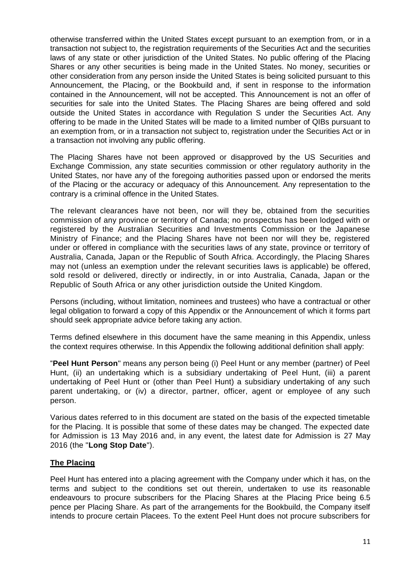otherwise transferred within the United States except pursuant to an exemption from, or in a transaction not subject to, the registration requirements of the Securities Act and the securities laws of any state or other jurisdiction of the United States. No public offering of the Placing Shares or any other securities is being made in the United States. No money, securities or other consideration from any person inside the United States is being solicited pursuant to this Announcement, the Placing, or the Bookbuild and, if sent in response to the information contained in the Announcement, will not be accepted. This Announcement is not an offer of securities for sale into the United States. The Placing Shares are being offered and sold outside the United States in accordance with Regulation S under the Securities Act. Any offering to be made in the United States will be made to a limited number of QIBs pursuant to an exemption from, or in a transaction not subject to, registration under the Securities Act or in a transaction not involving any public offering.

The Placing Shares have not been approved or disapproved by the US Securities and Exchange Commission, any state securities commission or other regulatory authority in the United States, nor have any of the foregoing authorities passed upon or endorsed the merits of the Placing or the accuracy or adequacy of this Announcement. Any representation to the contrary is a criminal offence in the United States.

The relevant clearances have not been, nor will they be, obtained from the securities commission of any province or territory of Canada; no prospectus has been lodged with or registered by the Australian Securities and Investments Commission or the Japanese Ministry of Finance; and the Placing Shares have not been nor will they be, registered under or offered in compliance with the securities laws of any state, province or territory of Australia, Canada, Japan or the Republic of South Africa. Accordingly, the Placing Shares may not (unless an exemption under the relevant securities laws is applicable) be offered, sold resold or delivered, directly or indirectly, in or into Australia, Canada, Japan or the Republic of South Africa or any other jurisdiction outside the United Kingdom.

Persons (including, without limitation, nominees and trustees) who have a contractual or other legal obligation to forward a copy of this Appendix or the Announcement of which it forms part should seek appropriate advice before taking any action.

Terms defined elsewhere in this document have the same meaning in this Appendix, unless the context requires otherwise. In this Appendix the following additional definition shall apply:

"**Peel Hunt Person**" means any person being (i) Peel Hunt or any member (partner) of Peel Hunt, (ii) an undertaking which is a subsidiary undertaking of Peel Hunt, (iii) a parent undertaking of Peel Hunt or (other than Peel Hunt) a subsidiary undertaking of any such parent undertaking, or (iv) a director, partner, officer, agent or employee of any such person.

Various dates referred to in this document are stated on the basis of the expected timetable for the Placing. It is possible that some of these dates may be changed. The expected date for Admission is 13 May 2016 and, in any event, the latest date for Admission is 27 May 2016 (the "**Long Stop Date**").

# **The Placing**

Peel Hunt has entered into a placing agreement with the Company under which it has, on the terms and subject to the conditions set out therein, undertaken to use its reasonable endeavours to procure subscribers for the Placing Shares at the Placing Price being 6.5 pence per Placing Share. As part of the arrangements for the Bookbuild, the Company itself intends to procure certain Placees. To the extent Peel Hunt does not procure subscribers for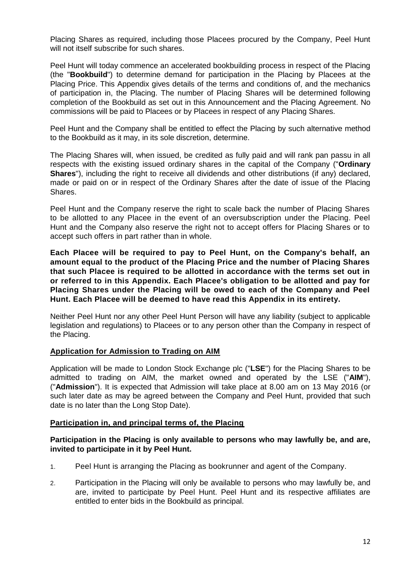Placing Shares as required, including those Placees procured by the Company, Peel Hunt will not itself subscribe for such shares.

Peel Hunt will today commence an accelerated bookbuilding process in respect of the Placing (the "**Bookbuild**") to determine demand for participation in the Placing by Placees at the Placing Price. This Appendix gives details of the terms and conditions of, and the mechanics of participation in, the Placing. The number of Placing Shares will be determined following completion of the Bookbuild as set out in this Announcement and the Placing Agreement. No commissions will be paid to Placees or by Placees in respect of any Placing Shares.

Peel Hunt and the Company shall be entitled to effect the Placing by such alternative method to the Bookbuild as it may, in its sole discretion, determine.

The Placing Shares will, when issued, be credited as fully paid and will rank pan passu in all respects with the existing issued ordinary shares in the capital of the Company ("**Ordinary Shares**"), including the right to receive all dividends and other distributions (if any) declared, made or paid on or in respect of the Ordinary Shares after the date of issue of the Placing Shares.

Peel Hunt and the Company reserve the right to scale back the number of Placing Shares to be allotted to any Placee in the event of an oversubscription under the Placing. Peel Hunt and the Company also reserve the right not to accept offers for Placing Shares or to accept such offers in part rather than in whole.

**Each Placee will be required to pay to Peel Hunt, on the Company's behalf, an amount equal to the product of the Placing Price and the number of Placing Shares that such Placee is required to be allotted in accordance with the terms set out in or referred to in this Appendix. Each Placee's obligation to be allotted and pay for Placing Shares under the Placing will be owed to each of the Company and Peel Hunt. Each Placee will be deemed to have read this Appendix in its entirety.**

Neither Peel Hunt nor any other Peel Hunt Person will have any liability (subject to applicable legislation and regulations) to Placees or to any person other than the Company in respect of the Placing.

# **Application for Admission to Trading on AIM**

Application will be made to London Stock Exchange plc ("**LSE**") for the Placing Shares to be admitted to trading on AIM, the market owned and operated by the LSE ("**AIM**"), ("**Admission**"). It is expected that Admission will take place at 8.00 am on 13 May 2016 (or such later date as may be agreed between the Company and Peel Hunt, provided that such date is no later than the Long Stop Date).

### **Participation in, and principal terms of, the Placing**

# **Participation in the Placing is only available to persons who may lawfully be, and are, invited to participate in it by Peel Hunt.**

- 1. Peel Hunt is arranging the Placing as bookrunner and agent of the Company.
- 2. Participation in the Placing will only be available to persons who may lawfully be, and are, invited to participate by Peel Hunt. Peel Hunt and its respective affiliates are entitled to enter bids in the Bookbuild as principal.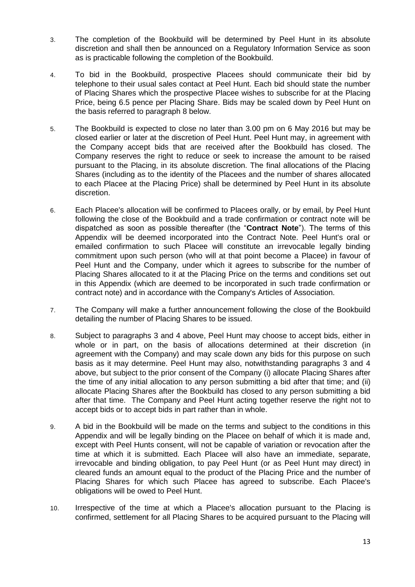- 3. The completion of the Bookbuild will be determined by Peel Hunt in its absolute discretion and shall then be announced on a Regulatory Information Service as soon as is practicable following the completion of the Bookbuild.
- 4. To bid in the Bookbuild, prospective Placees should communicate their bid by telephone to their usual sales contact at Peel Hunt. Each bid should state the number of Placing Shares which the prospective Placee wishes to subscribe for at the Placing Price, being 6.5 pence per Placing Share. Bids may be scaled down by Peel Hunt on the basis referred to paragraph 8 below.
- 5. The Bookbuild is expected to close no later than 3.00 pm on 6 May 2016 but may be closed earlier or later at the discretion of Peel Hunt. Peel Hunt may, in agreement with the Company accept bids that are received after the Bookbuild has closed. The Company reserves the right to reduce or seek to increase the amount to be raised pursuant to the Placing, in its absolute discretion. The final allocations of the Placing Shares (including as to the identity of the Placees and the number of shares allocated to each Placee at the Placing Price) shall be determined by Peel Hunt in its absolute discretion.
- 6. Each Placee's allocation will be confirmed to Placees orally, or by email, by Peel Hunt following the close of the Bookbuild and a trade confirmation or contract note will be dispatched as soon as possible thereafter (the "**Contract Note**"). The terms of this Appendix will be deemed incorporated into the Contract Note. Peel Hunt's oral or emailed confirmation to such Placee will constitute an irrevocable legally binding commitment upon such person (who will at that point become a Placee) in favour of Peel Hunt and the Company, under which it agrees to subscribe for the number of Placing Shares allocated to it at the Placing Price on the terms and conditions set out in this Appendix (which are deemed to be incorporated in such trade confirmation or contract note) and in accordance with the Company's Articles of Association.
- 7. The Company will make a further announcement following the close of the Bookbuild detailing the number of Placing Shares to be issued.
- 8. Subject to paragraphs 3 and 4 above, Peel Hunt may choose to accept bids, either in whole or in part, on the basis of allocations determined at their discretion (in agreement with the Company) and may scale down any bids for this purpose on such basis as it may determine. Peel Hunt may also, notwithstanding paragraphs 3 and 4 above, but subject to the prior consent of the Company (i) allocate Placing Shares after the time of any initial allocation to any person submitting a bid after that time; and (ii) allocate Placing Shares after the Bookbuild has closed to any person submitting a bid after that time. The Company and Peel Hunt acting together reserve the right not to accept bids or to accept bids in part rather than in whole.
- 9. A bid in the Bookbuild will be made on the terms and subject to the conditions in this Appendix and will be legally binding on the Placee on behalf of which it is made and, except with Peel Hunts consent, will not be capable of variation or revocation after the time at which it is submitted. Each Placee will also have an immediate, separate, irrevocable and binding obligation, to pay Peel Hunt (or as Peel Hunt may direct) in cleared funds an amount equal to the product of the Placing Price and the number of Placing Shares for which such Placee has agreed to subscribe. Each Placee's obligations will be owed to Peel Hunt.
- 10. Irrespective of the time at which a Placee's allocation pursuant to the Placing is confirmed, settlement for all Placing Shares to be acquired pursuant to the Placing will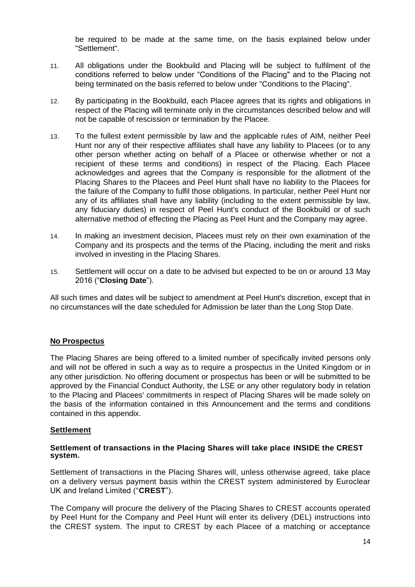be required to be made at the same time, on the basis explained below under "Settlement".

- 11. All obligations under the Bookbuild and Placing will be subject to fulfilment of the conditions referred to below under "Conditions of the Placing" and to the Placing not being terminated on the basis referred to below under "Conditions to the Placing".
- 12. By participating in the Bookbuild, each Placee agrees that its rights and obligations in respect of the Placing will terminate only in the circumstances described below and will not be capable of rescission or termination by the Placee.
- 13. To the fullest extent permissible by law and the applicable rules of AIM, neither Peel Hunt nor any of their respective affiliates shall have any liability to Placees (or to any other person whether acting on behalf of a Placee or otherwise whether or not a recipient of these terms and conditions) in respect of the Placing. Each Placee acknowledges and agrees that the Company is responsible for the allotment of the Placing Shares to the Placees and Peel Hunt shall have no liability to the Placees for the failure of the Company to fulfil those obligations. In particular, neither Peel Hunt nor any of its affiliates shall have any liability (including to the extent permissible by law, any fiduciary duties) in respect of Peel Hunt's conduct of the Bookbuild or of such alternative method of effecting the Placing as Peel Hunt and the Company may agree.
- 14. In making an investment decision, Placees must rely on their own examination of the Company and its prospects and the terms of the Placing, including the merit and risks involved in investing in the Placing Shares.
- 15. Settlement will occur on a date to be advised but expected to be on or around 13 May 2016 ("**Closing Date**").

All such times and dates will be subject to amendment at Peel Hunt's discretion, except that in no circumstances will the date scheduled for Admission be later than the Long Stop Date.

# **No Prospectus**

The Placing Shares are being offered to a limited number of specifically invited persons only and will not be offered in such a way as to require a prospectus in the United Kingdom or in any other jurisdiction. No offering document or prospectus has been or will be submitted to be approved by the Financial Conduct Authority, the LSE or any other regulatory body in relation to the Placing and Placees' commitments in respect of Placing Shares will be made solely on the basis of the information contained in this Announcement and the terms and conditions contained in this appendix.

### **Settlement**

## **Settlement of transactions in the Placing Shares will take place INSIDE the CREST system.**

Settlement of transactions in the Placing Shares will, unless otherwise agreed, take place on a delivery versus payment basis within the CREST system administered by Euroclear UK and Ireland Limited ("**CREST**").

The Company will procure the delivery of the Placing Shares to CREST accounts operated by Peel Hunt for the Company and Peel Hunt will enter its delivery (DEL) instructions into the CREST system. The input to CREST by each Placee of a matching or acceptance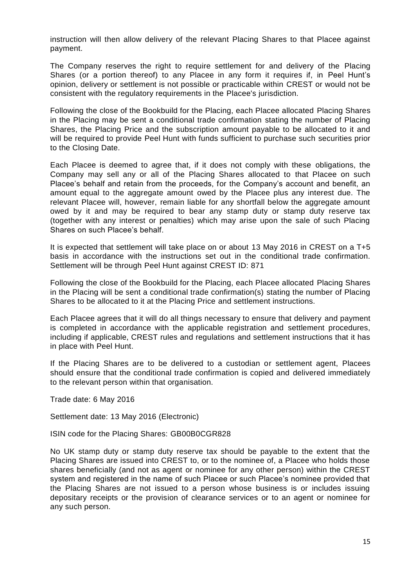instruction will then allow delivery of the relevant Placing Shares to that Placee against payment.

The Company reserves the right to require settlement for and delivery of the Placing Shares (or a portion thereof) to any Placee in any form it requires if, in Peel Hunt's opinion, delivery or settlement is not possible or practicable within CREST or would not be consistent with the regulatory requirements in the Placee's jurisdiction.

Following the close of the Bookbuild for the Placing, each Placee allocated Placing Shares in the Placing may be sent a conditional trade confirmation stating the number of Placing Shares, the Placing Price and the subscription amount payable to be allocated to it and will be required to provide Peel Hunt with funds sufficient to purchase such securities prior to the Closing Date.

Each Placee is deemed to agree that, if it does not comply with these obligations, the Company may sell any or all of the Placing Shares allocated to that Placee on such Placee's behalf and retain from the proceeds, for the Company's account and benefit, an amount equal to the aggregate amount owed by the Placee plus any interest due. The relevant Placee will, however, remain liable for any shortfall below the aggregate amount owed by it and may be required to bear any stamp duty or stamp duty reserve tax (together with any interest or penalties) which may arise upon the sale of such Placing Shares on such Placee's behalf.

It is expected that settlement will take place on or about 13 May 2016 in CREST on a T+5 basis in accordance with the instructions set out in the conditional trade confirmation. Settlement will be through Peel Hunt against CREST ID: 871

Following the close of the Bookbuild for the Placing, each Placee allocated Placing Shares in the Placing will be sent a conditional trade confirmation(s) stating the number of Placing Shares to be allocated to it at the Placing Price and settlement instructions.

Each Placee agrees that it will do all things necessary to ensure that delivery and payment is completed in accordance with the applicable registration and settlement procedures, including if applicable, CREST rules and regulations and settlement instructions that it has in place with Peel Hunt.

If the Placing Shares are to be delivered to a custodian or settlement agent, Placees should ensure that the conditional trade confirmation is copied and delivered immediately to the relevant person within that organisation.

Trade date: 6 May 2016

Settlement date: 13 May 2016 (Electronic)

ISIN code for the Placing Shares: GB00B0CGR828

No UK stamp duty or stamp duty reserve tax should be payable to the extent that the Placing Shares are issued into CREST to, or to the nominee of, a Placee who holds those shares beneficially (and not as agent or nominee for any other person) within the CREST system and registered in the name of such Placee or such Placee's nominee provided that the Placing Shares are not issued to a person whose business is or includes issuing depositary receipts or the provision of clearance services or to an agent or nominee for any such person.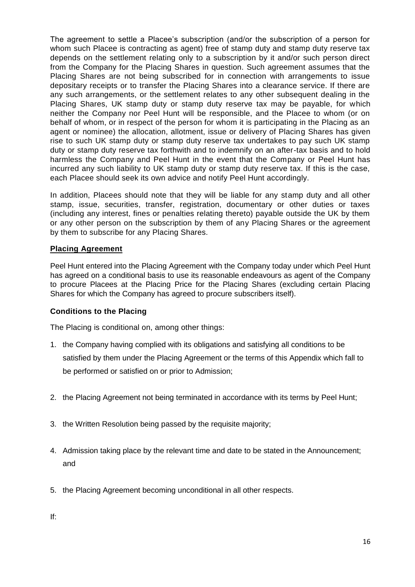The agreement to settle a Placee's subscription (and/or the subscription of a person for whom such Placee is contracting as agent) free of stamp duty and stamp duty reserve tax depends on the settlement relating only to a subscription by it and/or such person direct from the Company for the Placing Shares in question. Such agreement assumes that the Placing Shares are not being subscribed for in connection with arrangements to issue depositary receipts or to transfer the Placing Shares into a clearance service. If there are any such arrangements, or the settlement relates to any other subsequent dealing in the Placing Shares, UK stamp duty or stamp duty reserve tax may be payable, for which neither the Company nor Peel Hunt will be responsible, and the Placee to whom (or on behalf of whom, or in respect of the person for whom it is participating in the Placing as an agent or nominee) the allocation, allotment, issue or delivery of Placing Shares has given rise to such UK stamp duty or stamp duty reserve tax undertakes to pay such UK stamp duty or stamp duty reserve tax forthwith and to indemnify on an after-tax basis and to hold harmless the Company and Peel Hunt in the event that the Company or Peel Hunt has incurred any such liability to UK stamp duty or stamp duty reserve tax. If this is the case, each Placee should seek its own advice and notify Peel Hunt accordingly.

In addition, Placees should note that they will be liable for any stamp duty and all other stamp, issue, securities, transfer, registration, documentary or other duties or taxes (including any interest, fines or penalties relating thereto) payable outside the UK by them or any other person on the subscription by them of any Placing Shares or the agreement by them to subscribe for any Placing Shares.

# **Placing Agreement**

Peel Hunt entered into the Placing Agreement with the Company today under which Peel Hunt has agreed on a conditional basis to use its reasonable endeavours as agent of the Company to procure Placees at the Placing Price for the Placing Shares (excluding certain Placing Shares for which the Company has agreed to procure subscribers itself).

# **Conditions to the Placing**

The Placing is conditional on, among other things:

- 1. the Company having complied with its obligations and satisfying all conditions to be satisfied by them under the Placing Agreement or the terms of this Appendix which fall to be performed or satisfied on or prior to Admission;
- 2. the Placing Agreement not being terminated in accordance with its terms by Peel Hunt;
- 3. the Written Resolution being passed by the requisite majority;
- 4. Admission taking place by the relevant time and date to be stated in the Announcement; and
- 5. the Placing Agreement becoming unconditional in all other respects.

If: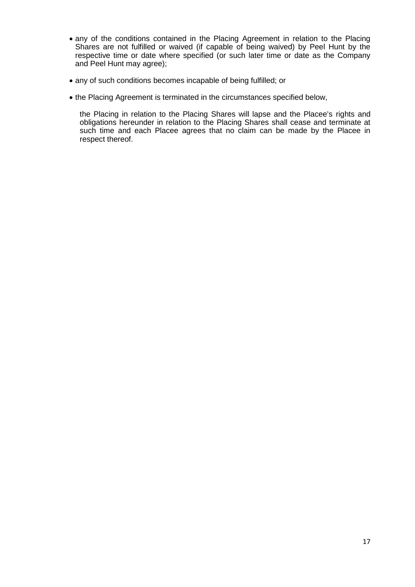- any of the conditions contained in the Placing Agreement in relation to the Placing Shares are not fulfilled or waived (if capable of being waived) by Peel Hunt by the respective time or date where specified (or such later time or date as the Company and Peel Hunt may agree);
- any of such conditions becomes incapable of being fulfilled; or
- the Placing Agreement is terminated in the circumstances specified below,

the Placing in relation to the Placing Shares will lapse and the Placee's rights and obligations hereunder in relation to the Placing Shares shall cease and terminate at such time and each Placee agrees that no claim can be made by the Placee in respect thereof.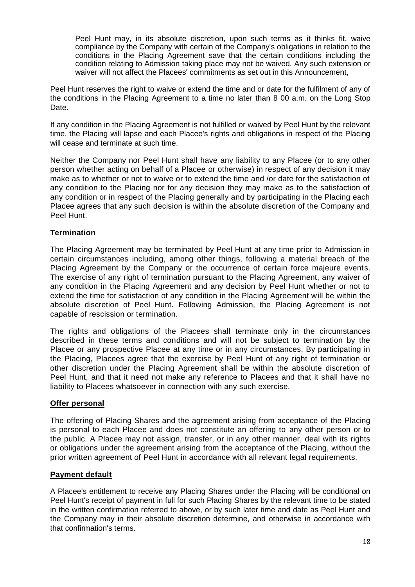Peel Hunt may, in its absolute discretion, upon such terms as it thinks fit, waive compliance by the Company with certain of the Company's obligations in relation to the conditions in the Placing Agreement save that the certain conditions including the condition relating to Admission taking place may not be waived. Any such extension or waiver will not affect the Placees' commitments as set out in this Announcement,

Peel Hunt reserves the right to waive or extend the time and or date for the fulfilment of any of the conditions in the Placing Agreement to a time no later than 8 00 a.m. on the Long Stop Date.

If any condition in the Placing Agreement is not fulfilled or waived by Peel Hunt by the relevant time, the Placing will lapse and each Placee's rights and obligations in respect of the Placing will cease and terminate at such time.

Neither the Company nor Peel Hunt shall have any liability to any Placee (or to any other person whether acting on behalf of a Placee or otherwise) in respect of any decision it may make as to whether or not to waive or to extend the time and /or date for the satisfaction of any condition to the Placing nor for any decision they may make as to the satisfaction of any condition or in respect of the Placing generally and by participating in the Placing each Placee agrees that any such decision is within the absolute discretion of the Company and Peel Hunt.

# **Termination**

The Placing Agreement may be terminated by Peel Hunt at any time prior to Admission in certain circumstances including, among other things, following a material breach of the Placing Agreement by the Company or the occurrence of certain force majeure events. The exercise of any right of termination pursuant to the Placing Agreement, any waiver of any condition in the Placing Agreement and any decision by Peel Hunt whether or not to extend the time for satisfaction of any condition in the Placing Agreement will be within the absolute discretion of Peel Hunt. Following Admission, the Placing Agreement is not capable of rescission or termination.

The rights and obligations of the Placees shall terminate only in the circumstances described in these terms and conditions and will not be subject to termination by the Placee or any prospective Placee at any time or in any circumstances. By participating in the Placing, Placees agree that the exercise by Peel Hunt of any right of termination or other discretion under the Placing Agreement shall be within the absolute discretion of Peel Hunt, and that it need not make any reference to Placees and that it shall have no liability to Placees whatsoever in connection with any such exercise.

# **Offer personal**

The offering of Placing Shares and the agreement arising from acceptance of the Placing is personal to each Placee and does not constitute an offering to any other person or to the public. A Placee may not assign, transfer, or in any other manner, deal with its rights or obligations under the agreement arising from the acceptance of the Placing, without the prior written agreement of Peel Hunt in accordance with all relevant legal requirements.

# **Payment default**

A Placee's entitlement to receive any Placing Shares under the Placing will be conditional on Peel Hunt's receipt of payment in full for such Placing Shares by the relevant time to be stated in the written confirmation referred to above, or by such later time and date as Peel Hunt and the Company may in their absolute discretion determine, and otherwise in accordance with that confirmation's terms.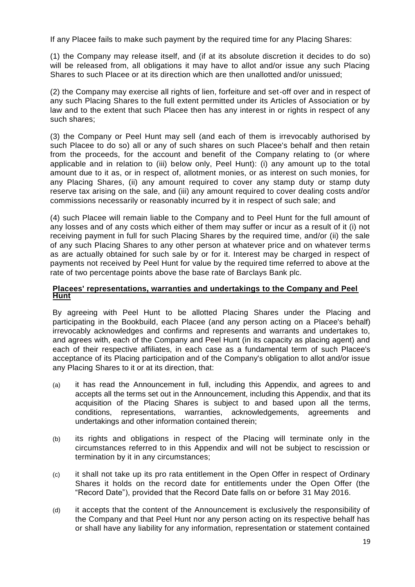If any Placee fails to make such payment by the required time for any Placing Shares:

(1) the Company may release itself, and (if at its absolute discretion it decides to do so) will be released from, all obligations it may have to allot and/or issue any such Placing Shares to such Placee or at its direction which are then unallotted and/or unissued;

(2) the Company may exercise all rights of lien, forfeiture and set-off over and in respect of any such Placing Shares to the full extent permitted under its Articles of Association or by law and to the extent that such Placee then has any interest in or rights in respect of any such shares;

(3) the Company or Peel Hunt may sell (and each of them is irrevocably authorised by such Placee to do so) all or any of such shares on such Placee's behalf and then retain from the proceeds, for the account and benefit of the Company relating to (or where applicable and in relation to (iii) below only, Peel Hunt): (i) any amount up to the total amount due to it as, or in respect of, allotment monies, or as interest on such monies, for any Placing Shares, (ii) any amount required to cover any stamp duty or stamp duty reserve tax arising on the sale, and (iii) any amount required to cover dealing costs and/or commissions necessarily or reasonably incurred by it in respect of such sale; and

(4) such Placee will remain liable to the Company and to Peel Hunt for the full amount of any losses and of any costs which either of them may suffer or incur as a result of it (i) not receiving payment in full for such Placing Shares by the required time, and/or (ii) the sale of any such Placing Shares to any other person at whatever price and on whatever terms as are actually obtained for such sale by or for it. Interest may be charged in respect of payments not received by Peel Hunt for value by the required time referred to above at the rate of two percentage points above the base rate of Barclays Bank plc.

## **Placees' representations, warranties and undertakings to the Company and Peel Hunt**

By agreeing with Peel Hunt to be allotted Placing Shares under the Placing and participating in the Bookbuild, each Placee (and any person acting on a Placee's behalf) irrevocably acknowledges and confirms and represents and warrants and undertakes to, and agrees with, each of the Company and Peel Hunt (in its capacity as placing agent) and each of their respective affiliates, in each case as a fundamental term of such Placee's acceptance of its Placing participation and of the Company's obligation to allot and/or issue any Placing Shares to it or at its direction, that:

- (a) it has read the Announcement in full, including this Appendix, and agrees to and accepts all the terms set out in the Announcement, including this Appendix, and that its acquisition of the Placing Shares is subject to and based upon all the terms, conditions, representations, warranties, acknowledgements, agreements and undertakings and other information contained therein;
- (b) its rights and obligations in respect of the Placing will terminate only in the circumstances referred to in this Appendix and will not be subject to rescission or termination by it in any circumstances;
- (c) it shall not take up its pro rata entitlement in the Open Offer in respect of Ordinary Shares it holds on the record date for entitlements under the Open Offer (the "Record Date"), provided that the Record Date falls on or before 31 May 2016.
- (d) it accepts that the content of the Announcement is exclusively the responsibility of the Company and that Peel Hunt nor any person acting on its respective behalf has or shall have any liability for any information, representation or statement contained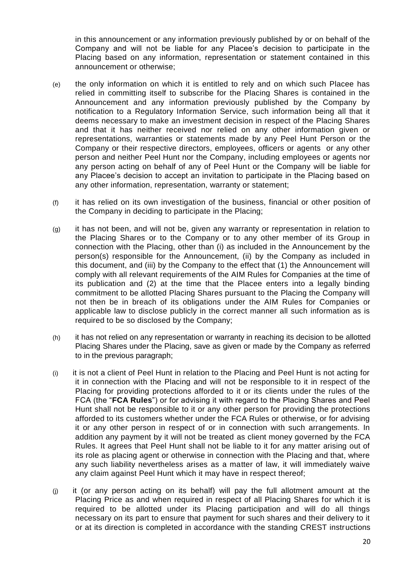in this announcement or any information previously published by or on behalf of the Company and will not be liable for any Placee's decision to participate in the Placing based on any information, representation or statement contained in this announcement or otherwise;

- (e) the only information on which it is entitled to rely and on which such Placee has relied in committing itself to subscribe for the Placing Shares is contained in the Announcement and any information previously published by the Company by notification to a Regulatory Information Service, such information being all that it deems necessary to make an investment decision in respect of the Placing Shares and that it has neither received nor relied on any other information given or representations, warranties or statements made by any Peel Hunt Person or the Company or their respective directors, employees, officers or agents or any other person and neither Peel Hunt nor the Company, including employees or agents nor any person acting on behalf of any of Peel Hunt or the Company will be liable for any Placee's decision to accept an invitation to participate in the Placing based on any other information, representation, warranty or statement;
- (f) it has relied on its own investigation of the business, financial or other position of the Company in deciding to participate in the Placing;
- (g) it has not been, and will not be, given any warranty or representation in relation to the Placing Shares or to the Company or to any other member of its Group in connection with the Placing, other than (i) as included in the Announcement by the person(s) responsible for the Announcement, (ii) by the Company as included in this document, and (iii) by the Company to the effect that (1) the Announcement will comply with all relevant requirements of the AIM Rules for Companies at the time of its publication and (2) at the time that the Placee enters into a legally binding commitment to be allotted Placing Shares pursuant to the Placing the Company will not then be in breach of its obligations under the AIM Rules for Companies or applicable law to disclose publicly in the correct manner all such information as is required to be so disclosed by the Company;
- (h) it has not relied on any representation or warranty in reaching its decision to be allotted Placing Shares under the Placing, save as given or made by the Company as referred to in the previous paragraph;
- (i) it is not a client of Peel Hunt in relation to the Placing and Peel Hunt is not acting for it in connection with the Placing and will not be responsible to it in respect of the Placing for providing protections afforded to it or its clients under the rules of the FCA (the "**FCA Rules**") or for advising it with regard to the Placing Shares and Peel Hunt shall not be responsible to it or any other person for providing the protections afforded to its customers whether under the FCA Rules or otherwise, or for advising it or any other person in respect of or in connection with such arrangements. In addition any payment by it will not be treated as client money governed by the FCA Rules. It agrees that Peel Hunt shall not be liable to it for any matter arising out of its role as placing agent or otherwise in connection with the Placing and that, where any such liability nevertheless arises as a matter of law, it will immediately waive any claim against Peel Hunt which it may have in respect thereof;
- (j) it (or any person acting on its behalf) will pay the full allotment amount at the Placing Price as and when required in respect of all Placing Shares for which it is required to be allotted under its Placing participation and will do all things necessary on its part to ensure that payment for such shares and their delivery to it or at its direction is completed in accordance with the standing CREST instructions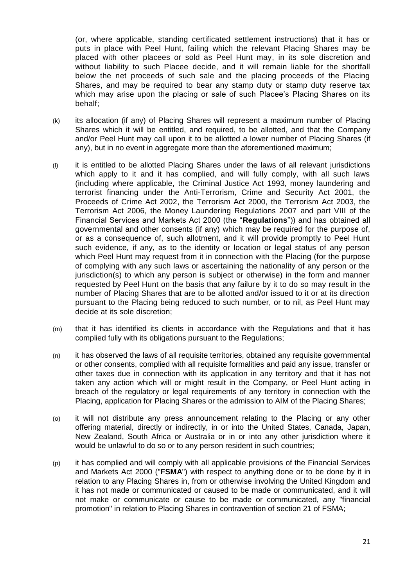(or, where applicable, standing certificated settlement instructions) that it has or puts in place with Peel Hunt, failing which the relevant Placing Shares may be placed with other placees or sold as Peel Hunt may, in its sole discretion and without liability to such Placee decide, and it will remain liable for the shortfall below the net proceeds of such sale and the placing proceeds of the Placing Shares, and may be required to bear any stamp duty or stamp duty reserve tax which may arise upon the placing or sale of such Placee's Placing Shares on its behalf;

- (k) its allocation (if any) of Placing Shares will represent a maximum number of Placing Shares which it will be entitled, and required, to be allotted, and that the Company and/or Peel Hunt may call upon it to be allotted a lower number of Placing Shares (if any), but in no event in aggregate more than the aforementioned maximum;
- (l) it is entitled to be allotted Placing Shares under the laws of all relevant jurisdictions which apply to it and it has complied, and will fully comply, with all such laws (including where applicable, the Criminal Justice Act 1993, money laundering and terrorist financing under the Anti-Terrorism, Crime and Security Act 2001, the Proceeds of Crime Act 2002, the Terrorism Act 2000, the Terrorism Act 2003, the Terrorism Act 2006, the Money Laundering Regulations 2007 and part VIII of the Financial Services and Markets Act 2000 (the "**Regulations**")) and has obtained all governmental and other consents (if any) which may be required for the purpose of, or as a consequence of, such allotment, and it will provide promptly to Peel Hunt such evidence, if any, as to the identity or location or legal status of any person which Peel Hunt may request from it in connection with the Placing (for the purpose of complying with any such laws or ascertaining the nationality of any person or the jurisdiction(s) to which any person is subject or otherwise) in the form and manner requested by Peel Hunt on the basis that any failure by it to do so may result in the number of Placing Shares that are to be allotted and/or issued to it or at its direction pursuant to the Placing being reduced to such number, or to nil, as Peel Hunt may decide at its sole discretion;
- (m) that it has identified its clients in accordance with the Regulations and that it has complied fully with its obligations pursuant to the Regulations;
- (n) it has observed the laws of all requisite territories, obtained any requisite governmental or other consents, complied with all requisite formalities and paid any issue, transfer or other taxes due in connection with its application in any territory and that it has not taken any action which will or might result in the Company, or Peel Hunt acting in breach of the regulatory or legal requirements of any territory in connection with the Placing, application for Placing Shares or the admission to AIM of the Placing Shares;
- (o) it will not distribute any press announcement relating to the Placing or any other offering material, directly or indirectly, in or into the United States, Canada, Japan, New Zealand, South Africa or Australia or in or into any other jurisdiction where it would be unlawful to do so or to any person resident in such countries;
- (p) it has complied and will comply with all applicable provisions of the Financial Services and Markets Act 2000 ("**FSMA**") with respect to anything done or to be done by it in relation to any Placing Shares in, from or otherwise involving the United Kingdom and it has not made or communicated or caused to be made or communicated, and it will not make or communicate or cause to be made or communicated, any "financial promotion" in relation to Placing Shares in contravention of section 21 of FSMA;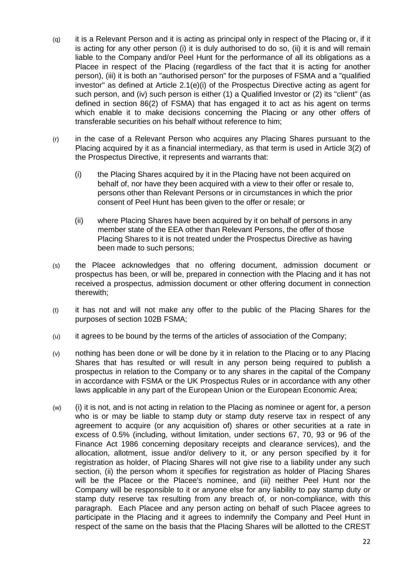- (q) it is a Relevant Person and it is acting as principal only in respect of the Placing or, if it is acting for any other person (i) it is duly authorised to do so, (ii) it is and will remain liable to the Company and/or Peel Hunt for the performance of all its obligations as a Placee in respect of the Placing (regardless of the fact that it is acting for another person), (iii) it is both an "authorised person" for the purposes of FSMA and a "qualified investor" as defined at Article 2.1(e)(i) of the Prospectus Directive acting as agent for such person, and (iv) such person is either (1) a Qualified Investor or (2) its "client" (as defined in section 86(2) of FSMA) that has engaged it to act as his agent on terms which enable it to make decisions concerning the Placing or any other offers of transferable securities on his behalf without reference to him;
- (r) in the case of a Relevant Person who acquires any Placing Shares pursuant to the Placing acquired by it as a financial intermediary, as that term is used in Article 3(2) of the Prospectus Directive, it represents and warrants that:
	- (i) the Placing Shares acquired by it in the Placing have not been acquired on behalf of, nor have they been acquired with a view to their offer or resale to, persons other than Relevant Persons or in circumstances in which the prior consent of Peel Hunt has been given to the offer or resale; or
	- (ii) where Placing Shares have been acquired by it on behalf of persons in any member state of the EEA other than Relevant Persons, the offer of those Placing Shares to it is not treated under the Prospectus Directive as having been made to such persons;
- (s) the Placee acknowledges that no offering document, admission document or prospectus has been, or will be, prepared in connection with the Placing and it has not received a prospectus, admission document or other offering document in connection therewith;
- (t) it has not and will not make any offer to the public of the Placing Shares for the purposes of section 102B FSMA;
- (u) it agrees to be bound by the terms of the articles of association of the Company;
- (v) nothing has been done or will be done by it in relation to the Placing or to any Placing Shares that has resulted or will result in any person being required to publish a prospectus in relation to the Company or to any shares in the capital of the Company in accordance with FSMA or the UK Prospectus Rules or in accordance with any other laws applicable in any part of the European Union or the European Economic Area;
- (w) (i) it is not, and is not acting in relation to the Placing as nominee or agent for, a person who is or may be liable to stamp duty or stamp duty reserve tax in respect of any agreement to acquire (or any acquisition of) shares or other securities at a rate in excess of 0.5% (including, without limitation, under sections 67, 70, 93 or 96 of the Finance Act 1986 concerning depositary receipts and clearance services), and the allocation, allotment, issue and/or delivery to it, or any person specified by it for registration as holder, of Placing Shares will not give rise to a liability under any such section, (ii) the person whom it specifies for registration as holder of Placing Shares will be the Placee or the Placee's nominee, and (iii) neither Peel Hunt nor the Company will be responsible to it or anyone else for any liability to pay stamp duty or stamp duty reserve tax resulting from any breach of, or non-compliance, with this paragraph. Each Placee and any person acting on behalf of such Placee agrees to participate in the Placing and it agrees to indemnify the Company and Peel Hunt in respect of the same on the basis that the Placing Shares will be allotted to the CREST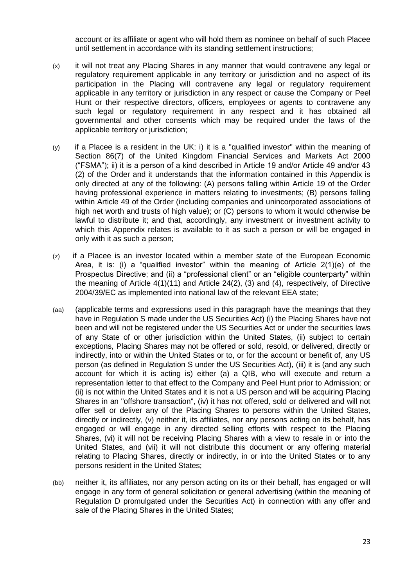account or its affiliate or agent who will hold them as nominee on behalf of such Placee until settlement in accordance with its standing settlement instructions;

- (x) it will not treat any Placing Shares in any manner that would contravene any legal or regulatory requirement applicable in any territory or jurisdiction and no aspect of its participation in the Placing will contravene any legal or regulatory requirement applicable in any territory or jurisdiction in any respect or cause the Company or Peel Hunt or their respective directors, officers, employees or agents to contravene any such legal or regulatory requirement in any respect and it has obtained all governmental and other consents which may be required under the laws of the applicable territory or jurisdiction;
- (y) if a Placee is a resident in the UK: i) it is a "qualified investor" within the meaning of Section 86(7) of the United Kingdom Financial Services and Markets Act 2000 ("FSMA"); ii) it is a person of a kind described in Article 19 and/or Article 49 and/or 43 (2) of the Order and it understands that the information contained in this Appendix is only directed at any of the following: (A) persons falling within Article 19 of the Order having professional experience in matters relating to investments; (B) persons falling within Article 49 of the Order (including companies and unincorporated associations of high net worth and trusts of high value); or (C) persons to whom it would otherwise be lawful to distribute it; and that, accordingly, any investment or investment activity to which this Appendix relates is available to it as such a person or will be engaged in only with it as such a person;
- (z) if a Placee is an investor located within a member state of the European Economic Area, it is: (i) a "qualified investor" within the meaning of Article 2(1)(e) of the Prospectus Directive; and (ii) a "professional client" or an "eligible counterparty" within the meaning of Article 4(1)(11) and Article 24(2), (3) and (4), respectively, of Directive 2004/39/EC as implemented into national law of the relevant EEA state;
- (aa) (applicable terms and expressions used in this paragraph have the meanings that they have in Regulation S made under the US Securities Act) (i) the Placing Shares have not been and will not be registered under the US Securities Act or under the securities laws of any State of or other jurisdiction within the United States, (ii) subject to certain exceptions, Placing Shares may not be offered or sold, resold, or delivered, directly or indirectly, into or within the United States or to, or for the account or benefit of, any US person (as defined in Regulation S under the US Securities Act), (iii) it is (and any such account for which it is acting is) either (a) a QIB, who will execute and return a representation letter to that effect to the Company and Peel Hunt prior to Admission; or (ii) is not within the United States and it is not a US person and will be acquiring Placing Shares in an "offshore transaction", (iv) it has not offered, sold or delivered and will not offer sell or deliver any of the Placing Shares to persons within the United States, directly or indirectly, (v) neither it, its affiliates, nor any persons acting on its behalf, has engaged or will engage in any directed selling efforts with respect to the Placing Shares, (vi) it will not be receiving Placing Shares with a view to resale in or into the United States, and (vii) it will not distribute this document or any offering material relating to Placing Shares, directly or indirectly, in or into the United States or to any persons resident in the United States;
- (bb) neither it, its affiliates, nor any person acting on its or their behalf, has engaged or will engage in any form of general solicitation or general advertising (within the meaning of Regulation D promulgated under the Securities Act) in connection with any offer and sale of the Placing Shares in the United States;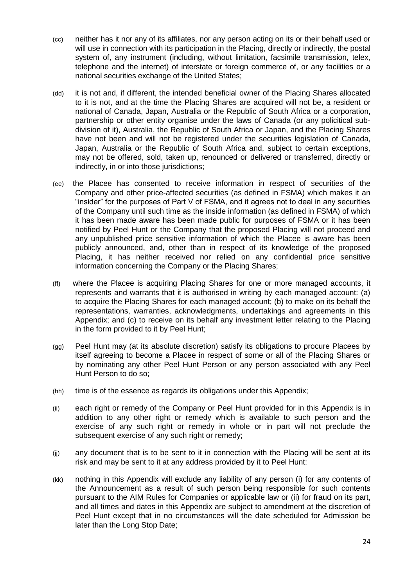- (cc) neither has it nor any of its affiliates, nor any person acting on its or their behalf used or will use in connection with its participation in the Placing, directly or indirectly, the postal system of, any instrument (including, without limitation, facsimile transmission, telex, telephone and the internet) of interstate or foreign commerce of, or any facilities or a national securities exchange of the United States;
- (dd) it is not and, if different, the intended beneficial owner of the Placing Shares allocated to it is not, and at the time the Placing Shares are acquired will not be, a resident or national of Canada, Japan, Australia or the Republic of South Africa or a corporation, partnership or other entity organise under the laws of Canada (or any policitical subdivision of it), Australia, the Republic of South Africa or Japan, and the Placing Shares have not been and will not be registered under the securities legislation of Canada, Japan, Australia or the Republic of South Africa and, subject to certain exceptions, may not be offered, sold, taken up, renounced or delivered or transferred, directly or indirectly, in or into those jurisdictions;
- (ee) the Placee has consented to receive information in respect of securities of the Company and other price-affected securities (as defined in FSMA) which makes it an "insider" for the purposes of Part V of FSMA, and it agrees not to deal in any securities of the Company until such time as the inside information (as defined in FSMA) of which it has been made aware has been made public for purposes of FSMA or it has been notified by Peel Hunt or the Company that the proposed Placing will not proceed and any unpublished price sensitive information of which the Placee is aware has been publicly announced, and, other than in respect of its knowledge of the proposed Placing, it has neither received nor relied on any confidential price sensitive information concerning the Company or the Placing Shares;
- (ff) where the Placee is acquiring Placing Shares for one or more managed accounts, it represents and warrants that it is authorised in writing by each managed account: (a) to acquire the Placing Shares for each managed account; (b) to make on its behalf the representations, warranties, acknowledgments, undertakings and agreements in this Appendix; and (c) to receive on its behalf any investment letter relating to the Placing in the form provided to it by Peel Hunt;
- (gg) Peel Hunt may (at its absolute discretion) satisfy its obligations to procure Placees by itself agreeing to become a Placee in respect of some or all of the Placing Shares or by nominating any other Peel Hunt Person or any person associated with any Peel Hunt Person to do so;
- (hh) time is of the essence as regards its obligations under this Appendix;
- (ii) each right or remedy of the Company or Peel Hunt provided for in this Appendix is in addition to any other right or remedy which is available to such person and the exercise of any such right or remedy in whole or in part will not preclude the subsequent exercise of any such right or remedy;
- (jj) any document that is to be sent to it in connection with the Placing will be sent at its risk and may be sent to it at any address provided by it to Peel Hunt:
- (kk) nothing in this Appendix will exclude any liability of any person (i) for any contents of the Announcement as a result of such person being responsible for such contents pursuant to the AIM Rules for Companies or applicable law or (ii) for fraud on its part, and all times and dates in this Appendix are subject to amendment at the discretion of Peel Hunt except that in no circumstances will the date scheduled for Admission be later than the Long Stop Date;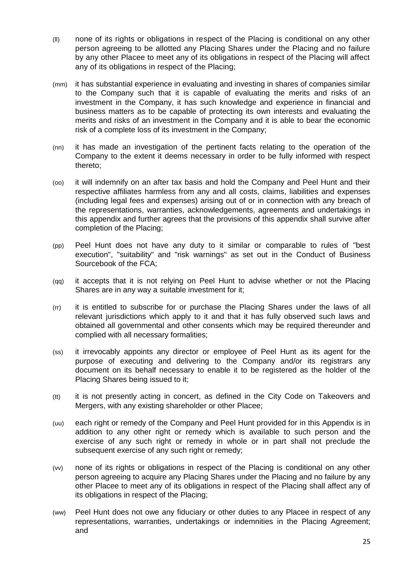- (ll) none of its rights or obligations in respect of the Placing is conditional on any other person agreeing to be allotted any Placing Shares under the Placing and no failure by any other Placee to meet any of its obligations in respect of the Placing will affect any of its obligations in respect of the Placing;
- (mm) it has substantial experience in evaluating and investing in shares of companies similar to the Company such that it is capable of evaluating the merits and risks of an investment in the Company, it has such knowledge and experience in financial and business matters as to be capable of protecting its own interests and evaluating the merits and risks of an investment in the Company and it is able to bear the economic risk of a complete loss of its investment in the Company;
- (nn) it has made an investigation of the pertinent facts relating to the operation of the Company to the extent it deems necessary in order to be fully informed with respect thereto;
- (oo) it will indemnify on an after tax basis and hold the Company and Peel Hunt and their respective affiliates harmless from any and all costs, claims, liabilities and expenses (including legal fees and expenses) arising out of or in connection with any breach of the representations, warranties, acknowledgements, agreements and undertakings in this appendix and further agrees that the provisions of this appendix shall survive after completion of the Placing;
- (pp) Peel Hunt does not have any duty to it similar or comparable to rules of "best execution", "suitability" and "risk warnings" as set out in the Conduct of Business Sourcebook of the FCA;
- (qq) it accepts that it is not relying on Peel Hunt to advise whether or not the Placing Shares are in any way a suitable investment for it;
- (rr) it is entitled to subscribe for or purchase the Placing Shares under the laws of all relevant jurisdictions which apply to it and that it has fully observed such laws and obtained all governmental and other consents which may be required thereunder and complied with all necessary formalities;
- (ss) it irrevocably appoints any director or employee of Peel Hunt as its agent for the purpose of executing and delivering to the Company and/or its registrars any document on its behalf necessary to enable it to be registered as the holder of the Placing Shares being issued to it;
- (tt) it is not presently acting in concert, as defined in the City Code on Takeovers and Mergers, with any existing shareholder or other Placee;
- (uu) each right or remedy of the Company and Peel Hunt provided for in this Appendix is in addition to any other right or remedy which is available to such person and the exercise of any such right or remedy in whole or in part shall not preclude the subsequent exercise of any such right or remedy;
- (vv) none of its rights or obligations in respect of the Placing is conditional on any other person agreeing to acquire any Placing Shares under the Placing and no failure by any other Placee to meet any of its obligations in respect of the Placing shall affect any of its obligations in respect of the Placing;
- (ww) Peel Hunt does not owe any fiduciary or other duties to any Placee in respect of any representations, warranties, undertakings or indemnities in the Placing Agreement; and